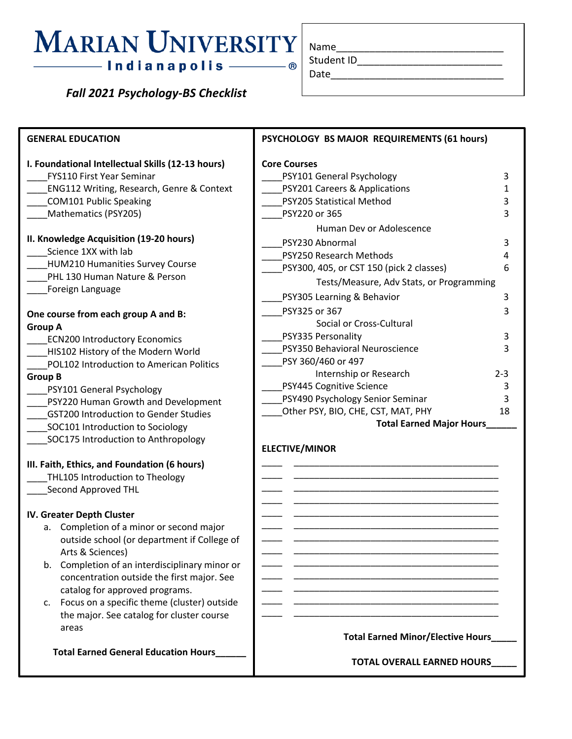### MARIAN UNIVERSITY Name — Indianapolis <mark>———</mark>

 *Fall 2021 Psychology-BS Checklist*

| Name       |  |  |
|------------|--|--|
| Student ID |  |  |
| Date       |  |  |

| <b>GENERAL EDUCATION</b>                             | PSYCHOLOGY BS MAJOR REQUIREMENTS (61 hours) |                |  |  |  |
|------------------------------------------------------|---------------------------------------------|----------------|--|--|--|
| I. Foundational Intellectual Skills (12-13 hours)    | <b>Core Courses</b>                         |                |  |  |  |
| <b>FYS110 First Year Seminar</b>                     | PSY101 General Psychology                   | 3              |  |  |  |
| <b>ENG112 Writing, Research, Genre &amp; Context</b> | PSY201 Careers & Applications               | $\mathbf{1}$   |  |  |  |
| <b>COM101 Public Speaking</b>                        | PSY205 Statistical Method                   | 3              |  |  |  |
| Mathematics (PSY205)                                 | PSY220 or 365                               | 3              |  |  |  |
|                                                      | Human Dev or Adolescence                    |                |  |  |  |
| II. Knowledge Acquisition (19-20 hours)              | PSY230 Abnormal                             | 3              |  |  |  |
| Science 1XX with lab                                 | PSY250 Research Methods                     | 4              |  |  |  |
| <b>HUM210 Humanities Survey Course</b>               | PSY300, 405, or CST 150 (pick 2 classes)    | 6              |  |  |  |
| PHL 130 Human Nature & Person                        | Tests/Measure, Adv Stats, or Programming    |                |  |  |  |
| Foreign Language                                     | PSY305 Learning & Behavior                  | 3              |  |  |  |
|                                                      | PSY325 or 367                               | 3              |  |  |  |
| One course from each group A and B:                  | Social or Cross-Cultural                    |                |  |  |  |
| <b>Group A</b>                                       | PSY335 Personality                          | 3              |  |  |  |
| <b>ECN200 Introductory Economics</b>                 | PSY350 Behavioral Neuroscience              | 3              |  |  |  |
| HIS102 History of the Modern World                   | PSY 360/460 or 497                          |                |  |  |  |
| POL102 Introduction to American Politics             | Internship or Research                      | $2 - 3$        |  |  |  |
| <b>Group B</b>                                       | PSY445 Cognitive Science                    | 3              |  |  |  |
| PSY101 General Psychology                            | PSY490 Psychology Senior Seminar            | $\overline{3}$ |  |  |  |
| PSY220 Human Growth and Development                  |                                             | 18             |  |  |  |
| <b>GST200 Introduction to Gender Studies</b>         | Other PSY, BIO, CHE, CST, MAT, PHY          |                |  |  |  |
| SOC101 Introduction to Sociology                     | <b>Total Earned Major Hours_</b>            |                |  |  |  |
| SOC175 Introduction to Anthropology                  | <b>ELECTIVE/MINOR</b>                       |                |  |  |  |
|                                                      |                                             |                |  |  |  |
| III. Faith, Ethics, and Foundation (6 hours)         |                                             |                |  |  |  |
| THL105 Introduction to Theology                      |                                             |                |  |  |  |
| Second Approved THL                                  |                                             |                |  |  |  |
| IV. Greater Depth Cluster                            |                                             |                |  |  |  |
| a. Completion of a minor or second major             |                                             |                |  |  |  |

a. Completion of a minor or second major outside school (or department if College of Arts & Sciences)

- b. Completion of an interdisciplinary minor or concentration outside the first major. See catalog for approved programs.
- c. Focus on a specific theme (cluster) outside the major. See catalog for cluster course areas

 **Total Earned General Education Hours\_\_\_\_\_\_**

#### **Total Earned Minor/Elective Hours\_\_\_\_\_**

\_\_\_\_ \_\_\_\_\_\_\_\_\_\_\_\_\_\_\_\_\_\_\_\_\_\_\_\_\_\_\_\_\_\_\_\_\_\_\_\_\_\_\_\_ \_\_\_\_ \_\_\_\_\_\_\_\_\_\_\_\_\_\_\_\_\_\_\_\_\_\_\_\_\_\_\_\_\_\_\_\_\_\_\_\_\_\_\_\_ \_\_\_\_ \_\_\_\_\_\_\_\_\_\_\_\_\_\_\_\_\_\_\_\_\_\_\_\_\_\_\_\_\_\_\_\_\_\_\_\_\_\_\_\_  $\mathcal{L} = \frac{1}{2} \sum_{i=1}^{n} \frac{1}{2} \sum_{j=1}^{n} \frac{1}{2} \sum_{j=1}^{n} \frac{1}{2} \sum_{j=1}^{n} \frac{1}{2} \sum_{j=1}^{n} \frac{1}{2} \sum_{j=1}^{n} \frac{1}{2} \sum_{j=1}^{n} \frac{1}{2} \sum_{j=1}^{n} \frac{1}{2} \sum_{j=1}^{n} \frac{1}{2} \sum_{j=1}^{n} \frac{1}{2} \sum_{j=1}^{n} \frac{1}{2} \sum_{j=1}^{n} \frac{1}{2} \sum$ \_\_\_\_ \_\_\_\_\_\_\_\_\_\_\_\_\_\_\_\_\_\_\_\_\_\_\_\_\_\_\_\_\_\_\_\_\_\_\_\_\_\_\_\_ \_\_\_\_ \_\_\_\_\_\_\_\_\_\_\_\_\_\_\_\_\_\_\_\_\_\_\_\_\_\_\_\_\_\_\_\_\_\_\_\_\_\_\_\_ \_\_\_\_ \_\_\_\_\_\_\_\_\_\_\_\_\_\_\_\_\_\_\_\_\_\_\_\_\_\_\_\_\_\_\_\_\_\_\_\_\_\_\_\_

**TOTAL OVERALL EARNED HOURS\_\_\_\_\_**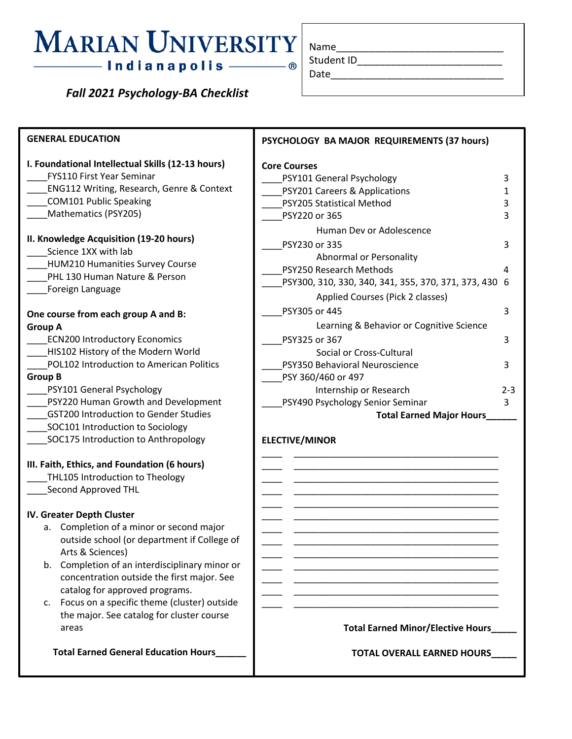# - Indianapolis ———— ®

 *Fall 2021 Psychology-BA Checklist*

| Name       |  |
|------------|--|
| Student ID |  |
| Date       |  |

| <b>GENERAL EDUCATION</b>                                                                                                                                                                                                                                                                                                                                                                                                                                                               | PSYCHOLOGY BA MAJOR REQUIREMENTS (37 hours)                                                                                                                                                         |                  |
|----------------------------------------------------------------------------------------------------------------------------------------------------------------------------------------------------------------------------------------------------------------------------------------------------------------------------------------------------------------------------------------------------------------------------------------------------------------------------------------|-----------------------------------------------------------------------------------------------------------------------------------------------------------------------------------------------------|------------------|
| I. Foundational Intellectual Skills (12-13 hours)<br><b>FYS110 First Year Seminar</b><br><b>ENG112 Writing, Research, Genre &amp; Context</b><br><b>COM101 Public Speaking</b><br>Mathematics (PSY205)                                                                                                                                                                                                                                                                                 | <b>Core Courses</b><br>PSY101 General Psychology<br>PSY201 Careers & Applications<br>PSY205 Statistical Method<br>PSY220 or 365                                                                     | 3<br>1<br>3<br>3 |
| II. Knowledge Acquisition (19-20 hours)<br>Science 1XX with lab<br>HUM210 Humanities Survey Course<br>PHL 130 Human Nature & Person<br>Foreign Language                                                                                                                                                                                                                                                                                                                                | Human Dev or Adolescence<br>PSY230 or 335<br><b>Abnormal or Personality</b><br>PSY250 Research Methods<br>PSY300, 310, 330, 340, 341, 355, 370, 371, 373, 430 6<br>Applied Courses (Pick 2 classes) | 3<br>4           |
| One course from each group A and B:<br><b>Group A</b>                                                                                                                                                                                                                                                                                                                                                                                                                                  | PSY305 or 445<br>Learning & Behavior or Cognitive Science                                                                                                                                           | 3                |
| <b>ECN200 Introductory Economics</b><br>HIS102 History of the Modern World                                                                                                                                                                                                                                                                                                                                                                                                             | PSY325 or 367<br>Social or Cross-Cultural                                                                                                                                                           | 3                |
| POL102 Introduction to American Politics<br><b>Group B</b><br>PSY101 General Psychology                                                                                                                                                                                                                                                                                                                                                                                                | PSY350 Behavioral Neuroscience<br>PSY 360/460 or 497<br>Internship or Research                                                                                                                      | 3<br>$2 - 3$     |
| PSY220 Human Growth and Development<br><b>GST200 Introduction to Gender Studies</b><br>SOC101 Introduction to Sociology<br>SOC175 Introduction to Anthropology                                                                                                                                                                                                                                                                                                                         | PSY490 Psychology Senior Seminar<br><b>Total Earned Major Hours</b><br><b>ELECTIVE/MINOR</b>                                                                                                        | 3                |
| III. Faith, Ethics, and Foundation (6 hours)<br>THL105 Introduction to Theology<br>Second Approved THL<br>IV. Greater Depth Cluster<br>a. Completion of a minor or second major<br>outside school (or department if College of<br>Arts & Sciences)<br>b. Completion of an interdisciplinary minor or<br>concentration outside the first major. See<br>catalog for approved programs.<br>Focus on a specific theme (cluster) outside<br>C.<br>the major. See catalog for cluster course |                                                                                                                                                                                                     |                  |
| areas                                                                                                                                                                                                                                                                                                                                                                                                                                                                                  | <b>Total Earned Minor/Elective Hours_</b>                                                                                                                                                           |                  |

 **Total Earned General Education Hours\_\_\_\_\_\_**

**TOTAL OVERALL EARNED HOURS\_\_\_\_\_**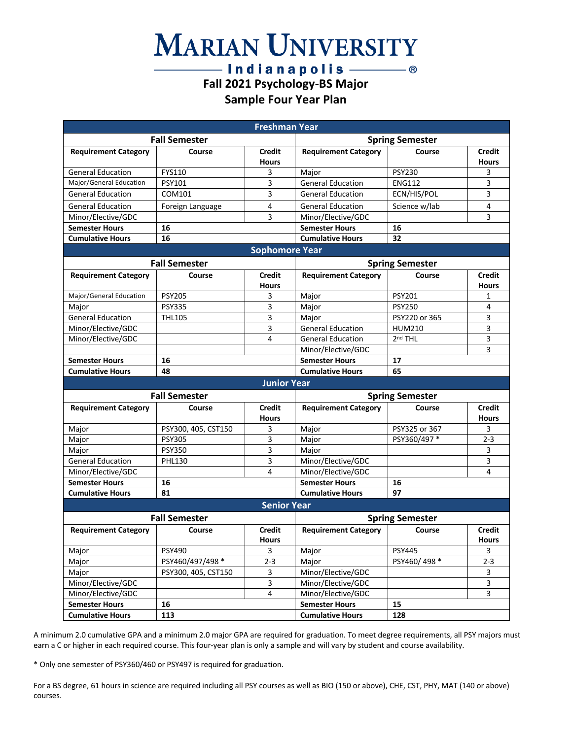## **MARIAN UNIVERSITY**

#### $-$  Indianapolis  $-\!\!\!-\!\!\!-\!\!\!-\!\!\circ$ **Fall 2021 Psychology-BS Major Sample Four Year Plan**

| <b>Freshman Year</b>        |                      |                               |                             |                        |                               |
|-----------------------------|----------------------|-------------------------------|-----------------------------|------------------------|-------------------------------|
|                             | <b>Fall Semester</b> |                               | <b>Spring Semester</b>      |                        |                               |
| <b>Requirement Category</b> | Course               | <b>Credit</b><br><b>Hours</b> | <b>Requirement Category</b> | Course                 | <b>Credit</b><br><b>Hours</b> |
| <b>General Education</b>    | FYS110               | 3                             | Major                       | <b>PSY230</b>          | 3                             |
| Major/General Education     | <b>PSY101</b>        | 3                             | <b>General Education</b>    | <b>ENG112</b>          | 3                             |
| <b>General Education</b>    | COM101               | 3                             | <b>General Education</b>    | ECN/HIS/POL            | 3                             |
| <b>General Education</b>    | Foreign Language     | 4                             | <b>General Education</b>    | Science w/lab          | 4                             |
| Minor/Elective/GDC          |                      | 3                             | Minor/Elective/GDC          |                        | 3                             |
| <b>Semester Hours</b>       | 16                   |                               | <b>Semester Hours</b>       | 16                     |                               |
| <b>Cumulative Hours</b>     | 16                   |                               | <b>Cumulative Hours</b>     | 32                     |                               |
|                             |                      | <b>Sophomore Year</b>         |                             |                        |                               |
|                             | <b>Fall Semester</b> |                               |                             | <b>Spring Semester</b> |                               |
| <b>Requirement Category</b> | Course               | <b>Credit</b>                 | <b>Requirement Category</b> | Course                 | <b>Credit</b>                 |
|                             |                      | <b>Hours</b>                  |                             |                        | <b>Hours</b>                  |
| Major/General Education     | <b>PSY205</b>        | 3                             | Major                       | <b>PSY201</b>          | 1                             |
| Major                       | <b>PSY335</b>        | 3                             | Major                       | <b>PSY250</b>          | 4                             |
| <b>General Education</b>    | <b>THL105</b>        | 3                             | Major                       | PSY220 or 365          | 3                             |
| Minor/Elective/GDC          |                      | 3                             | <b>General Education</b>    | <b>HUM210</b>          | 3                             |
| Minor/Elective/GDC          |                      | 4                             | <b>General Education</b>    | 2 <sup>nd</sup> THL    | 3                             |
|                             |                      |                               | Minor/Elective/GDC          |                        | 3                             |
| <b>Semester Hours</b>       | 16                   |                               | <b>Semester Hours</b>       | 17                     |                               |
| <b>Cumulative Hours</b>     | 48                   |                               | <b>Cumulative Hours</b>     | 65                     |                               |
|                             |                      | <b>Junior Year</b>            |                             |                        |                               |
|                             | <b>Fall Semester</b> |                               | <b>Spring Semester</b>      |                        |                               |
| <b>Requirement Category</b> | Course               | Credit                        | <b>Requirement Category</b> | Course                 | <b>Credit</b>                 |
|                             |                      | <b>Hours</b>                  |                             |                        | <b>Hours</b>                  |
| Major                       | PSY300, 405, CST150  | 3                             | Major                       | PSY325 or 367          | 3                             |
| Major                       | <b>PSY305</b>        | 3                             | Major                       | PSY360/497 *           | $2 - 3$                       |
| Major                       | <b>PSY350</b>        | 3                             | Major                       |                        | 3                             |
| <b>General Education</b>    | <b>PHL130</b>        | 3                             | Minor/Elective/GDC          |                        | 3                             |
| Minor/Elective/GDC          |                      | 4                             | Minor/Elective/GDC          |                        | 4                             |
| <b>Semester Hours</b>       | 16                   |                               | <b>Semester Hours</b>       | 16                     |                               |
| <b>Cumulative Hours</b>     | 81                   |                               | <b>Cumulative Hours</b>     | 97                     |                               |
|                             |                      | <b>Senior Year</b>            |                             |                        |                               |
|                             | <b>Fall Semester</b> |                               | <b>Spring Semester</b>      |                        |                               |
| <b>Requirement Category</b> | Course               | <b>Credit</b><br><b>Hours</b> | <b>Requirement Category</b> | Course                 | Credit<br><b>Hours</b>        |
| Major                       | <b>PSY490</b>        | 3                             | Major                       | <b>PSY445</b>          | 3                             |
| Major                       | PSY460/497/498 *     | $2 - 3$                       | Major                       | PSY460/498*            | $2 - 3$                       |
| Major                       | PSY300, 405, CST150  | 3                             | Minor/Elective/GDC          |                        | 3                             |
| Minor/Elective/GDC          |                      | 3                             | Minor/Elective/GDC          |                        | 3                             |
| Minor/Elective/GDC          |                      | $\overline{4}$                | Minor/Elective/GDC          |                        | 3                             |
| <b>Semester Hours</b>       | 16                   |                               | <b>Semester Hours</b>       | 15                     |                               |
| <b>Cumulative Hours</b>     | 113                  |                               | <b>Cumulative Hours</b>     | 128                    |                               |

A minimum 2.0 cumulative GPA and a minimum 2.0 major GPA are required for graduation. To meet degree requirements, all PSY majors must earn a C or higher in each required course. This four-year plan is only a sample and will vary by student and course availability.

\* Only one semester of PSY360/460 or PSY497 is required for graduation.

For a BS degree, 61 hours in science are required including all PSY courses as well as BIO (150 or above), CHE, CST, PHY, MAT (140 or above) courses.